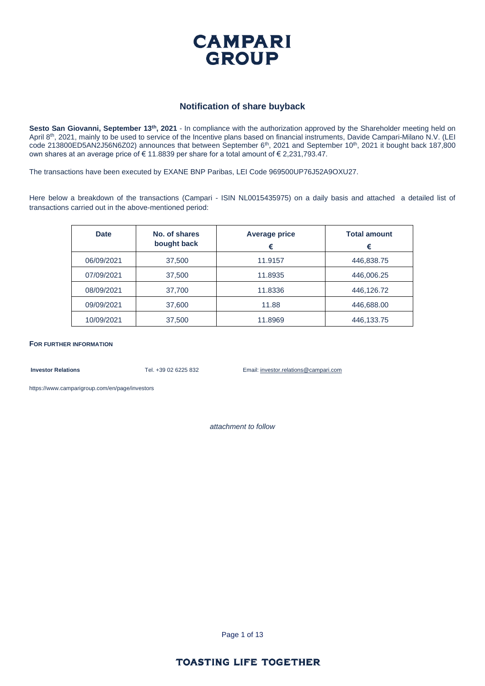

#### **Notification of share buyback**

**Sesto San Giovanni, September 13th, 2021** - In compliance with the authorization approved by the Shareholder meeting held on April 8<sup>th</sup>, 2021, mainly to be used to service of the Incentive plans based on financial instruments, Davide Campari-Milano N.V. (LEI code 213800ED5AN2J56N6Z02) announces that between September 6<sup>th</sup>, 2021 and September 10<sup>th</sup>, 2021 it bought back 187,800 own shares at an average price of € 11.8839 per share for a total amount of € 2,231,793.47.

The transactions have been executed by EXANE BNP Paribas, LEI Code 969500UP76J52A9OXU27.

Here below a breakdown of the transactions (Campari - ISIN NL0015435975) on a daily basis and attached a detailed list of transactions carried out in the above-mentioned period:

| <b>Date</b> | No. of shares<br>bought back | <b>Average price</b><br>€ | <b>Total amount</b><br>€ |
|-------------|------------------------------|---------------------------|--------------------------|
| 06/09/2021  | 37,500                       | 11.9157                   | 446,838.75               |
| 07/09/2021  | 37,500                       | 11.8935                   | 446,006.25               |
| 08/09/2021  | 37,700                       | 11.8336                   | 446,126.72               |
| 09/09/2021  | 37,600                       | 11.88                     | 446,688.00               |
| 10/09/2021  | 37,500                       | 11.8969                   | 446,133.75               |

**FOR FURTHER INFORMATION**

**Investor Relations** Tel. +39 02 6225 832 Email: investor.relations@campari.com

[https://www.camparigroup.com/en/page/investors](https://urldefense.proofpoint.com/v2/url?u=https-3A__www.camparigroup.com_en_page_investors&d=DwMFAw&c=XYrWdXnqoGVNRPOyUELP3IXCOEKnVf1zLk3mv6_0vws&r=7duvdfu-gIaiPrAcF5cMQ3C7k4ExOdDC_HToaoAPHZI&m=owk4gVJoOX0Y5PzcaCnrKyxdIRMNjFCG63QhVPH7AUk&s=iCu7Kfnsxig867VkmNLTca3aRN9CMoJdPlGaK-6pYP8&e=)

*attachment to follow*

Page 1 of 13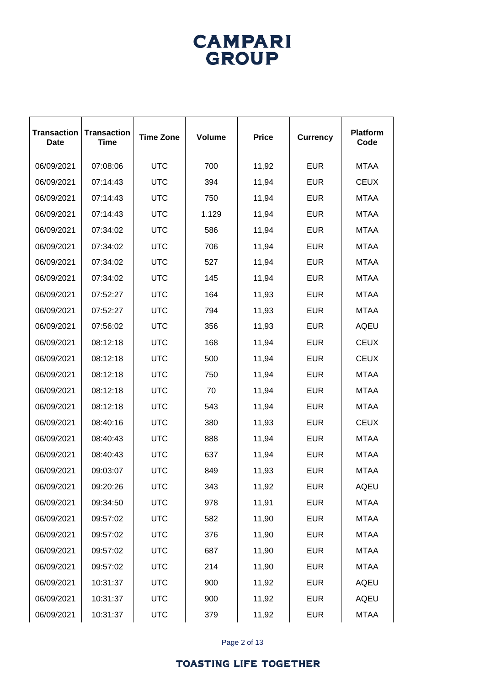# **CAMPARI**<br>GROUP

| <b>Transaction</b><br><b>Date</b> | <b>Transaction</b><br><b>Time</b> | <b>Time Zone</b> | <b>Volume</b> | <b>Price</b> | <b>Currency</b> | <b>Platform</b><br>Code |
|-----------------------------------|-----------------------------------|------------------|---------------|--------------|-----------------|-------------------------|
| 06/09/2021                        | 07:08:06                          | <b>UTC</b>       | 700           | 11,92        | <b>EUR</b>      | <b>MTAA</b>             |
| 06/09/2021                        | 07:14:43                          | <b>UTC</b>       | 394           | 11,94        | <b>EUR</b>      | <b>CEUX</b>             |
| 06/09/2021                        | 07:14:43                          | <b>UTC</b>       | 750           | 11,94        | <b>EUR</b>      | <b>MTAA</b>             |
| 06/09/2021                        | 07:14:43                          | <b>UTC</b>       | 1.129         | 11,94        | <b>EUR</b>      | <b>MTAA</b>             |
| 06/09/2021                        | 07:34:02                          | <b>UTC</b>       | 586           | 11,94        | <b>EUR</b>      | <b>MTAA</b>             |
| 06/09/2021                        | 07:34:02                          | <b>UTC</b>       | 706           | 11,94        | <b>EUR</b>      | <b>MTAA</b>             |
| 06/09/2021                        | 07:34:02                          | <b>UTC</b>       | 527           | 11,94        | <b>EUR</b>      | <b>MTAA</b>             |
| 06/09/2021                        | 07:34:02                          | <b>UTC</b>       | 145           | 11,94        | <b>EUR</b>      | <b>MTAA</b>             |
| 06/09/2021                        | 07:52:27                          | <b>UTC</b>       | 164           | 11,93        | <b>EUR</b>      | <b>MTAA</b>             |
| 06/09/2021                        | 07:52:27                          | <b>UTC</b>       | 794           | 11,93        | <b>EUR</b>      | <b>MTAA</b>             |
| 06/09/2021                        | 07:56:02                          | <b>UTC</b>       | 356           | 11,93        | <b>EUR</b>      | <b>AQEU</b>             |
| 06/09/2021                        | 08:12:18                          | <b>UTC</b>       | 168           | 11,94        | <b>EUR</b>      | <b>CEUX</b>             |
| 06/09/2021                        | 08:12:18                          | <b>UTC</b>       | 500           | 11,94        | <b>EUR</b>      | <b>CEUX</b>             |
| 06/09/2021                        | 08:12:18                          | <b>UTC</b>       | 750           | 11,94        | <b>EUR</b>      | <b>MTAA</b>             |
| 06/09/2021                        | 08:12:18                          | <b>UTC</b>       | 70            | 11,94        | <b>EUR</b>      | <b>MTAA</b>             |
| 06/09/2021                        | 08:12:18                          | <b>UTC</b>       | 543           | 11,94        | <b>EUR</b>      | <b>MTAA</b>             |
| 06/09/2021                        | 08:40:16                          | <b>UTC</b>       | 380           | 11,93        | <b>EUR</b>      | <b>CEUX</b>             |
| 06/09/2021                        | 08:40:43                          | <b>UTC</b>       | 888           | 11,94        | <b>EUR</b>      | <b>MTAA</b>             |
| 06/09/2021                        | 08:40:43                          | <b>UTC</b>       | 637           | 11,94        | <b>EUR</b>      | <b>MTAA</b>             |
| 06/09/2021                        | 09:03:07                          | <b>UTC</b>       | 849           | 11,93        | <b>EUR</b>      | <b>MTAA</b>             |
| 06/09/2021                        | 09:20:26                          | <b>UTC</b>       | 343           | 11,92        | <b>EUR</b>      | <b>AQEU</b>             |
| 06/09/2021                        | 09:34:50                          | <b>UTC</b>       | 978           | 11,91        | <b>EUR</b>      | <b>MTAA</b>             |
| 06/09/2021                        | 09:57:02                          | <b>UTC</b>       | 582           | 11,90        | <b>EUR</b>      | <b>MTAA</b>             |
| 06/09/2021                        | 09:57:02                          | <b>UTC</b>       | 376           | 11,90        | <b>EUR</b>      | <b>MTAA</b>             |
| 06/09/2021                        | 09:57:02                          | <b>UTC</b>       | 687           | 11,90        | <b>EUR</b>      | <b>MTAA</b>             |
| 06/09/2021                        | 09:57:02                          | <b>UTC</b>       | 214           | 11,90        | <b>EUR</b>      | <b>MTAA</b>             |
| 06/09/2021                        | 10:31:37                          | <b>UTC</b>       | 900           | 11,92        | <b>EUR</b>      | <b>AQEU</b>             |
| 06/09/2021                        | 10:31:37                          | <b>UTC</b>       | 900           | 11,92        | <b>EUR</b>      | <b>AQEU</b>             |
| 06/09/2021                        | 10:31:37                          | <b>UTC</b>       | 379           | 11,92        | <b>EUR</b>      | <b>MTAA</b>             |

Page 2 of 13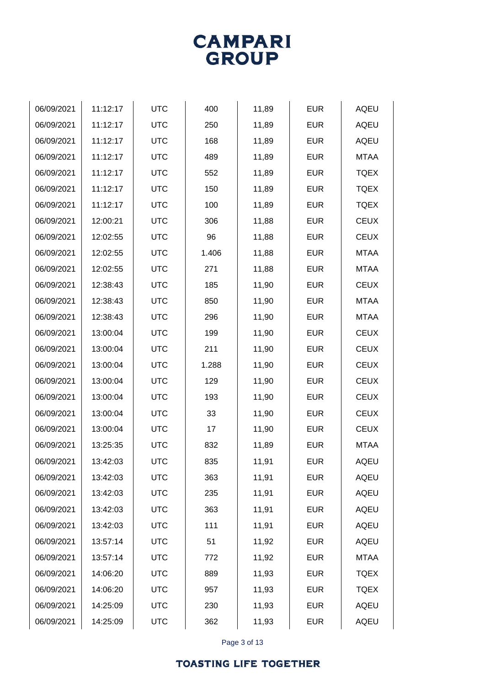Page 3 of 13

| 06/09/2021 | 11:12:17 | <b>UTC</b> | 400   | 11,89 | <b>EUR</b> | <b>AQEU</b> |
|------------|----------|------------|-------|-------|------------|-------------|
| 06/09/2021 | 11:12:17 | <b>UTC</b> | 250   | 11,89 | <b>EUR</b> | <b>AQEU</b> |
| 06/09/2021 | 11:12:17 | <b>UTC</b> | 168   | 11,89 | <b>EUR</b> | <b>AQEU</b> |
| 06/09/2021 | 11:12:17 | <b>UTC</b> | 489   | 11,89 | <b>EUR</b> | <b>MTAA</b> |
| 06/09/2021 | 11:12:17 | <b>UTC</b> | 552   | 11,89 | <b>EUR</b> | <b>TQEX</b> |
| 06/09/2021 | 11:12:17 | <b>UTC</b> | 150   | 11,89 | <b>EUR</b> | <b>TQEX</b> |
| 06/09/2021 | 11:12:17 | <b>UTC</b> | 100   | 11,89 | <b>EUR</b> | <b>TQEX</b> |
| 06/09/2021 | 12:00:21 | <b>UTC</b> | 306   | 11,88 | <b>EUR</b> | <b>CEUX</b> |
| 06/09/2021 | 12:02:55 | <b>UTC</b> | 96    | 11,88 | <b>EUR</b> | <b>CEUX</b> |
| 06/09/2021 | 12:02:55 | <b>UTC</b> | 1.406 | 11,88 | <b>EUR</b> | <b>MTAA</b> |
| 06/09/2021 | 12:02:55 | <b>UTC</b> | 271   | 11,88 | <b>EUR</b> | <b>MTAA</b> |
| 06/09/2021 | 12:38:43 | <b>UTC</b> | 185   | 11,90 | <b>EUR</b> | <b>CEUX</b> |
| 06/09/2021 | 12:38:43 | <b>UTC</b> | 850   | 11,90 | <b>EUR</b> | <b>MTAA</b> |
| 06/09/2021 | 12:38:43 | <b>UTC</b> | 296   | 11,90 | <b>EUR</b> | <b>MTAA</b> |
| 06/09/2021 | 13:00:04 | <b>UTC</b> | 199   | 11,90 | <b>EUR</b> | <b>CEUX</b> |
| 06/09/2021 | 13:00:04 | <b>UTC</b> | 211   | 11,90 | <b>EUR</b> | <b>CEUX</b> |
| 06/09/2021 | 13:00:04 | <b>UTC</b> | 1.288 | 11,90 | <b>EUR</b> | <b>CEUX</b> |
| 06/09/2021 | 13:00:04 | <b>UTC</b> | 129   | 11,90 | <b>EUR</b> | <b>CEUX</b> |
| 06/09/2021 | 13:00:04 | <b>UTC</b> | 193   | 11,90 | <b>EUR</b> | <b>CEUX</b> |
| 06/09/2021 | 13:00:04 | <b>UTC</b> | 33    | 11,90 | <b>EUR</b> | <b>CEUX</b> |
| 06/09/2021 | 13:00:04 | <b>UTC</b> | 17    | 11,90 | <b>EUR</b> | <b>CEUX</b> |
| 06/09/2021 | 13:25:35 | <b>UTC</b> | 832   | 11,89 | <b>EUR</b> | <b>MTAA</b> |
| 06/09/2021 | 13:42:03 | <b>UTC</b> | 835   | 11,91 | <b>EUR</b> | AQEU        |
| 06/09/2021 | 13:42:03 | <b>UTC</b> | 363   | 11,91 | <b>EUR</b> | <b>AQEU</b> |
| 06/09/2021 | 13:42:03 | <b>UTC</b> | 235   | 11,91 | <b>EUR</b> | <b>AQEU</b> |
| 06/09/2021 | 13:42:03 | <b>UTC</b> | 363   | 11,91 | <b>EUR</b> | <b>AQEU</b> |
| 06/09/2021 | 13:42:03 | <b>UTC</b> | 111   | 11,91 | <b>EUR</b> | <b>AQEU</b> |
| 06/09/2021 | 13:57:14 | <b>UTC</b> | 51    | 11,92 | <b>EUR</b> | <b>AQEU</b> |
| 06/09/2021 | 13:57:14 | <b>UTC</b> | 772   | 11,92 | <b>EUR</b> | <b>MTAA</b> |
| 06/09/2021 | 14:06:20 | <b>UTC</b> | 889   | 11,93 | <b>EUR</b> | <b>TQEX</b> |
| 06/09/2021 | 14:06:20 | <b>UTC</b> | 957   | 11,93 | <b>EUR</b> | <b>TQEX</b> |
| 06/09/2021 | 14:25:09 | <b>UTC</b> | 230   | 11,93 | <b>EUR</b> | <b>AQEU</b> |
| 06/09/2021 | 14:25:09 | <b>UTC</b> | 362   | 11,93 | <b>EUR</b> | AQEU        |
|            |          |            |       |       |            |             |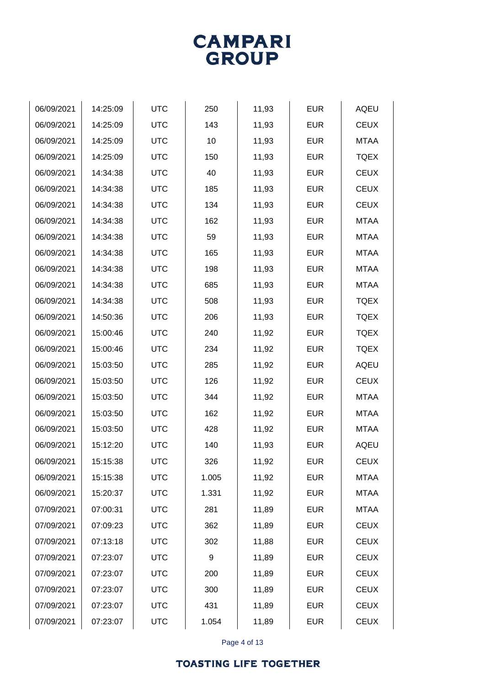Page 4 of 13

| 06/09/2021 | 14:25:09 | <b>UTC</b> | 250   | 11,93 | <b>EUR</b> | <b>AQEU</b> |
|------------|----------|------------|-------|-------|------------|-------------|
| 06/09/2021 | 14:25:09 | <b>UTC</b> | 143   | 11,93 | <b>EUR</b> | <b>CEUX</b> |
| 06/09/2021 | 14:25:09 | <b>UTC</b> | 10    | 11,93 | <b>EUR</b> | <b>MTAA</b> |
| 06/09/2021 | 14:25:09 | <b>UTC</b> | 150   | 11,93 | <b>EUR</b> | <b>TQEX</b> |
| 06/09/2021 | 14:34:38 | <b>UTC</b> | 40    | 11,93 | <b>EUR</b> | <b>CEUX</b> |
| 06/09/2021 | 14:34:38 | <b>UTC</b> | 185   | 11,93 | <b>EUR</b> | <b>CEUX</b> |
| 06/09/2021 | 14:34:38 | <b>UTC</b> | 134   | 11,93 | <b>EUR</b> | <b>CEUX</b> |
| 06/09/2021 | 14:34:38 | <b>UTC</b> | 162   | 11,93 | <b>EUR</b> | <b>MTAA</b> |
| 06/09/2021 | 14:34:38 | <b>UTC</b> | 59    | 11,93 | <b>EUR</b> | <b>MTAA</b> |
| 06/09/2021 | 14:34:38 | <b>UTC</b> | 165   | 11,93 | <b>EUR</b> | <b>MTAA</b> |
| 06/09/2021 | 14:34:38 | <b>UTC</b> | 198   | 11,93 | <b>EUR</b> | <b>MTAA</b> |
| 06/09/2021 | 14:34:38 | <b>UTC</b> | 685   | 11,93 | <b>EUR</b> | <b>MTAA</b> |
| 06/09/2021 | 14:34:38 | <b>UTC</b> | 508   | 11,93 | <b>EUR</b> | <b>TQEX</b> |
| 06/09/2021 | 14:50:36 | <b>UTC</b> | 206   | 11,93 | <b>EUR</b> | <b>TQEX</b> |
| 06/09/2021 | 15:00:46 | <b>UTC</b> | 240   | 11,92 | <b>EUR</b> | <b>TQEX</b> |
| 06/09/2021 | 15:00:46 | <b>UTC</b> | 234   | 11,92 | <b>EUR</b> | <b>TQEX</b> |
| 06/09/2021 | 15:03:50 | <b>UTC</b> | 285   | 11,92 | <b>EUR</b> | <b>AQEU</b> |
| 06/09/2021 | 15:03:50 | <b>UTC</b> | 126   | 11,92 | <b>EUR</b> | <b>CEUX</b> |
| 06/09/2021 | 15:03:50 | <b>UTC</b> | 344   | 11,92 | <b>EUR</b> | <b>MTAA</b> |
| 06/09/2021 | 15:03:50 | <b>UTC</b> | 162   | 11,92 | <b>EUR</b> | <b>MTAA</b> |
| 06/09/2021 | 15:03:50 | <b>UTC</b> | 428   | 11,92 | <b>EUR</b> | <b>MTAA</b> |
| 06/09/2021 | 15:12:20 | <b>UTC</b> | 140   | 11,93 | <b>EUR</b> | <b>AQEU</b> |
| 06/09/2021 | 15:15:38 | <b>UTC</b> | 326   | 11,92 | <b>EUR</b> | <b>CEUX</b> |
| 06/09/2021 | 15:15:38 | <b>UTC</b> | 1.005 | 11,92 | <b>EUR</b> | <b>MTAA</b> |
| 06/09/2021 | 15:20:37 | <b>UTC</b> | 1.331 | 11,92 | <b>EUR</b> | <b>MTAA</b> |
| 07/09/2021 | 07:00:31 | <b>UTC</b> | 281   | 11,89 | <b>EUR</b> | <b>MTAA</b> |
| 07/09/2021 | 07:09:23 | <b>UTC</b> | 362   | 11,89 | <b>EUR</b> | <b>CEUX</b> |
| 07/09/2021 | 07:13:18 | <b>UTC</b> | 302   | 11,88 | <b>EUR</b> | <b>CEUX</b> |
| 07/09/2021 | 07:23:07 | <b>UTC</b> | 9     | 11,89 | <b>EUR</b> | <b>CEUX</b> |
| 07/09/2021 | 07:23:07 | <b>UTC</b> | 200   | 11,89 | <b>EUR</b> | <b>CEUX</b> |
| 07/09/2021 | 07:23:07 | <b>UTC</b> | 300   | 11,89 | <b>EUR</b> | <b>CEUX</b> |
| 07/09/2021 | 07:23:07 | <b>UTC</b> | 431   | 11,89 | <b>EUR</b> | <b>CEUX</b> |
| 07/09/2021 | 07:23:07 | <b>UTC</b> | 1.054 | 11,89 | <b>EUR</b> | <b>CEUX</b> |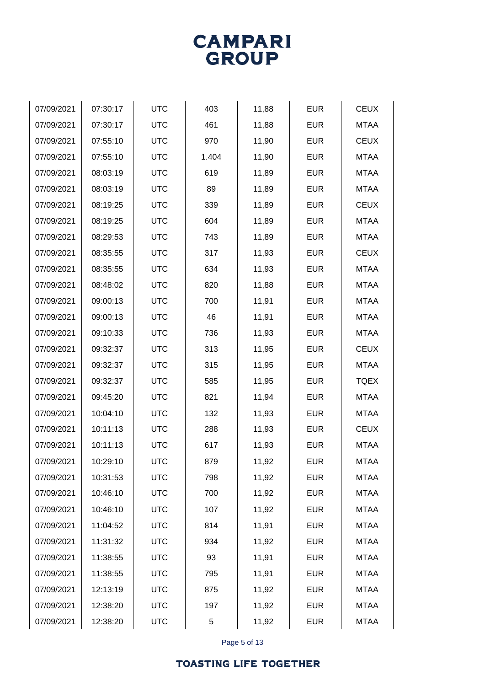

| 07/09/2021 | 07:30:17 | <b>UTC</b> | 403   | 11,88 | <b>EUR</b> | <b>CEUX</b> |
|------------|----------|------------|-------|-------|------------|-------------|
| 07/09/2021 | 07:30:17 | <b>UTC</b> | 461   | 11,88 | <b>EUR</b> | <b>MTAA</b> |
| 07/09/2021 | 07:55:10 | <b>UTC</b> | 970   | 11,90 | <b>EUR</b> | <b>CEUX</b> |
| 07/09/2021 | 07:55:10 | <b>UTC</b> | 1.404 | 11,90 | <b>EUR</b> | <b>MTAA</b> |
| 07/09/2021 | 08:03:19 | <b>UTC</b> | 619   | 11,89 | <b>EUR</b> | <b>MTAA</b> |
| 07/09/2021 | 08:03:19 | <b>UTC</b> | 89    | 11,89 | <b>EUR</b> | <b>MTAA</b> |
| 07/09/2021 | 08:19:25 | <b>UTC</b> | 339   | 11,89 | <b>EUR</b> | <b>CEUX</b> |
| 07/09/2021 | 08:19:25 | <b>UTC</b> | 604   | 11,89 | <b>EUR</b> | <b>MTAA</b> |
| 07/09/2021 | 08:29:53 | <b>UTC</b> | 743   | 11,89 | <b>EUR</b> | <b>MTAA</b> |
| 07/09/2021 | 08:35:55 | <b>UTC</b> | 317   | 11,93 | <b>EUR</b> | <b>CEUX</b> |
| 07/09/2021 | 08:35:55 | <b>UTC</b> | 634   | 11,93 | <b>EUR</b> | <b>MTAA</b> |
| 07/09/2021 | 08:48:02 | <b>UTC</b> | 820   | 11,88 | <b>EUR</b> | <b>MTAA</b> |
| 07/09/2021 | 09:00:13 | <b>UTC</b> | 700   | 11,91 | <b>EUR</b> | <b>MTAA</b> |
| 07/09/2021 | 09:00:13 | <b>UTC</b> | 46    | 11,91 | <b>EUR</b> | <b>MTAA</b> |
| 07/09/2021 | 09:10:33 | <b>UTC</b> | 736   | 11,93 | <b>EUR</b> | <b>MTAA</b> |
| 07/09/2021 | 09:32:37 | <b>UTC</b> | 313   | 11,95 | <b>EUR</b> | <b>CEUX</b> |
| 07/09/2021 | 09:32:37 | <b>UTC</b> | 315   | 11,95 | <b>EUR</b> | <b>MTAA</b> |
| 07/09/2021 | 09:32:37 | <b>UTC</b> | 585   | 11,95 | <b>EUR</b> | <b>TQEX</b> |
| 07/09/2021 | 09:45:20 | <b>UTC</b> | 821   | 11,94 | <b>EUR</b> | <b>MTAA</b> |
| 07/09/2021 | 10:04:10 | <b>UTC</b> | 132   | 11,93 | <b>EUR</b> | <b>MTAA</b> |
| 07/09/2021 | 10:11:13 | <b>UTC</b> | 288   | 11,93 | <b>EUR</b> | <b>CEUX</b> |
| 07/09/2021 | 10:11:13 | <b>UTC</b> | 617   | 11,93 | <b>EUR</b> | <b>MTAA</b> |
| 07/09/2021 | 10:29:10 | <b>UTC</b> | 879   | 11,92 | <b>EUR</b> | <b>MTAA</b> |
| 07/09/2021 | 10:31:53 | <b>UTC</b> | 798   | 11,92 | <b>EUR</b> | <b>MTAA</b> |
| 07/09/2021 | 10:46:10 | <b>UTC</b> | 700   | 11,92 | <b>EUR</b> | MTAA        |
| 07/09/2021 | 10:46:10 | <b>UTC</b> | 107   | 11,92 | <b>EUR</b> | <b>MTAA</b> |
| 07/09/2021 | 11:04:52 | <b>UTC</b> | 814   | 11,91 | <b>EUR</b> | <b>MTAA</b> |
| 07/09/2021 | 11:31:32 | <b>UTC</b> | 934   | 11,92 | <b>EUR</b> | <b>MTAA</b> |
| 07/09/2021 | 11:38:55 | <b>UTC</b> | 93    | 11,91 | <b>EUR</b> | MTAA        |
| 07/09/2021 | 11:38:55 | <b>UTC</b> | 795   | 11,91 | <b>EUR</b> | <b>MTAA</b> |
| 07/09/2021 | 12:13:19 | <b>UTC</b> | 875   | 11,92 | <b>EUR</b> | <b>MTAA</b> |
| 07/09/2021 | 12:38:20 | <b>UTC</b> | 197   | 11,92 | <b>EUR</b> | MTAA        |
| 07/09/2021 | 12:38:20 | <b>UTC</b> | 5     | 11,92 | <b>EUR</b> | <b>MTAA</b> |
|            |          |            |       |       |            |             |

Page 5 of 13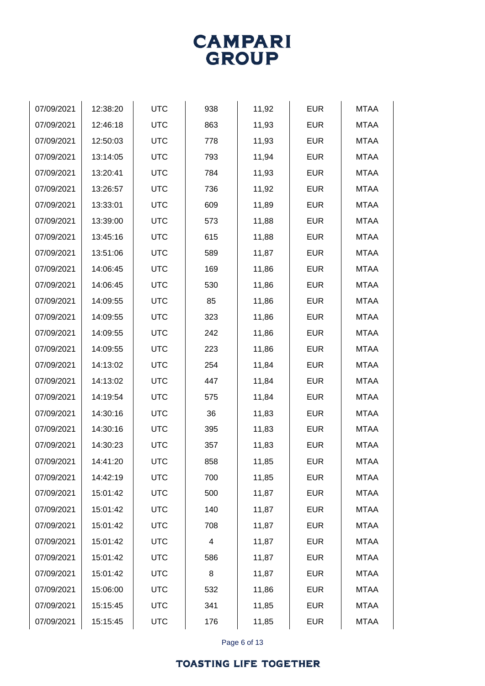Page 6 of 13

| 07/09/2021 | 12:38:20 | <b>UTC</b> | 938 | 11,92 | <b>EUR</b> | <b>MTAA</b> |
|------------|----------|------------|-----|-------|------------|-------------|
| 07/09/2021 | 12:46:18 | <b>UTC</b> | 863 | 11,93 | <b>EUR</b> | <b>MTAA</b> |
| 07/09/2021 | 12:50:03 | <b>UTC</b> | 778 | 11,93 | <b>EUR</b> | <b>MTAA</b> |
| 07/09/2021 | 13:14:05 | <b>UTC</b> | 793 | 11,94 | <b>EUR</b> | <b>MTAA</b> |
| 07/09/2021 | 13:20:41 | <b>UTC</b> | 784 | 11,93 | <b>EUR</b> | <b>MTAA</b> |
| 07/09/2021 | 13:26:57 | <b>UTC</b> | 736 | 11,92 | <b>EUR</b> | <b>MTAA</b> |
| 07/09/2021 | 13:33:01 | <b>UTC</b> | 609 | 11,89 | <b>EUR</b> | <b>MTAA</b> |
| 07/09/2021 | 13:39:00 | <b>UTC</b> | 573 | 11,88 | <b>EUR</b> | <b>MTAA</b> |
| 07/09/2021 | 13:45:16 | <b>UTC</b> | 615 | 11,88 | <b>EUR</b> | <b>MTAA</b> |
| 07/09/2021 | 13:51:06 | <b>UTC</b> | 589 | 11,87 | <b>EUR</b> | <b>MTAA</b> |
| 07/09/2021 | 14:06:45 | <b>UTC</b> | 169 | 11,86 | <b>EUR</b> | <b>MTAA</b> |
| 07/09/2021 | 14:06:45 | <b>UTC</b> | 530 | 11,86 | <b>EUR</b> | <b>MTAA</b> |
| 07/09/2021 | 14:09:55 | <b>UTC</b> | 85  | 11,86 | <b>EUR</b> | <b>MTAA</b> |
| 07/09/2021 | 14:09:55 | <b>UTC</b> | 323 | 11,86 | <b>EUR</b> | <b>MTAA</b> |
| 07/09/2021 | 14:09:55 | <b>UTC</b> | 242 | 11,86 | <b>EUR</b> | <b>MTAA</b> |
| 07/09/2021 | 14:09:55 | <b>UTC</b> | 223 | 11,86 | <b>EUR</b> | <b>MTAA</b> |
| 07/09/2021 | 14:13:02 | <b>UTC</b> | 254 | 11,84 | <b>EUR</b> | <b>MTAA</b> |
| 07/09/2021 | 14:13:02 | <b>UTC</b> | 447 | 11,84 | <b>EUR</b> | <b>MTAA</b> |
| 07/09/2021 | 14:19:54 | <b>UTC</b> | 575 | 11,84 | <b>EUR</b> | <b>MTAA</b> |
| 07/09/2021 | 14:30:16 | <b>UTC</b> | 36  | 11,83 | <b>EUR</b> | <b>MTAA</b> |
| 07/09/2021 | 14:30:16 | <b>UTC</b> | 395 | 11,83 | <b>EUR</b> | <b>MTAA</b> |
| 07/09/2021 | 14:30:23 | <b>UTC</b> | 357 | 11,83 | <b>EUR</b> | <b>MTAA</b> |
| 07/09/2021 | 14:41:20 | <b>UTC</b> | 858 | 11,85 | <b>EUR</b> | <b>MTAA</b> |
| 07/09/2021 | 14:42:19 | <b>UTC</b> | 700 | 11,85 | <b>EUR</b> | <b>MTAA</b> |
| 07/09/2021 | 15:01:42 | <b>UTC</b> | 500 | 11,87 | <b>EUR</b> | <b>MTAA</b> |
| 07/09/2021 | 15:01:42 | <b>UTC</b> | 140 | 11,87 | <b>EUR</b> | <b>MTAA</b> |
| 07/09/2021 | 15:01:42 | <b>UTC</b> | 708 | 11,87 | <b>EUR</b> | <b>MTAA</b> |
| 07/09/2021 | 15:01:42 | <b>UTC</b> | 4   | 11,87 | <b>EUR</b> | <b>MTAA</b> |
| 07/09/2021 | 15:01:42 | <b>UTC</b> | 586 | 11,87 | <b>EUR</b> | <b>MTAA</b> |
| 07/09/2021 | 15:01:42 | <b>UTC</b> | 8   | 11,87 | <b>EUR</b> | <b>MTAA</b> |
| 07/09/2021 | 15:06:00 | <b>UTC</b> | 532 | 11,86 | <b>EUR</b> | <b>MTAA</b> |
| 07/09/2021 | 15:15:45 | <b>UTC</b> | 341 | 11,85 | <b>EUR</b> | MTAA        |
| 07/09/2021 | 15:15:45 | <b>UTC</b> | 176 | 11,85 | <b>EUR</b> | <b>MTAA</b> |
|            |          |            |     |       |            |             |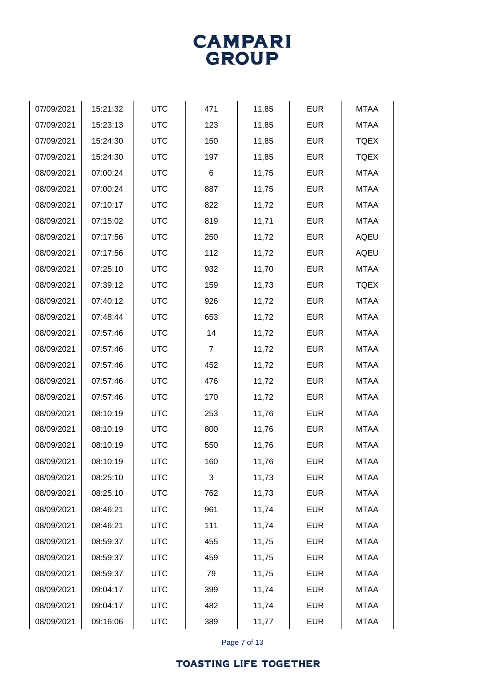

| 15:21:32 | <b>UTC</b> | 471            | 11,85 | <b>EUR</b> | <b>MTAA</b> |
|----------|------------|----------------|-------|------------|-------------|
| 15:23:13 | <b>UTC</b> | 123            | 11,85 | <b>EUR</b> | <b>MTAA</b> |
| 15:24:30 | <b>UTC</b> | 150            | 11,85 | <b>EUR</b> | <b>TQEX</b> |
| 15:24:30 | <b>UTC</b> | 197            | 11,85 | <b>EUR</b> | <b>TQEX</b> |
| 07:00:24 | <b>UTC</b> | 6              | 11,75 | <b>EUR</b> | <b>MTAA</b> |
| 07:00:24 | <b>UTC</b> | 887            | 11,75 | <b>EUR</b> | <b>MTAA</b> |
| 07:10:17 | <b>UTC</b> | 822            | 11,72 | <b>EUR</b> | <b>MTAA</b> |
| 07:15:02 | <b>UTC</b> | 819            | 11,71 | <b>EUR</b> | <b>MTAA</b> |
| 07:17:56 | <b>UTC</b> | 250            | 11,72 | <b>EUR</b> | <b>AQEU</b> |
| 07:17:56 | <b>UTC</b> | 112            | 11,72 | <b>EUR</b> | <b>AQEU</b> |
| 07:25:10 | <b>UTC</b> | 932            | 11,70 | <b>EUR</b> | <b>MTAA</b> |
| 07:39:12 | <b>UTC</b> | 159            | 11,73 | <b>EUR</b> | <b>TQEX</b> |
| 07:40:12 | <b>UTC</b> | 926            | 11,72 | <b>EUR</b> | <b>MTAA</b> |
| 07:48:44 | <b>UTC</b> | 653            | 11,72 | <b>EUR</b> | <b>MTAA</b> |
| 07:57:46 | <b>UTC</b> | 14             | 11,72 | <b>EUR</b> | <b>MTAA</b> |
| 07:57:46 | <b>UTC</b> | $\overline{7}$ | 11,72 | <b>EUR</b> | <b>MTAA</b> |
| 07:57:46 | <b>UTC</b> | 452            | 11,72 | <b>EUR</b> | <b>MTAA</b> |
| 07:57:46 | <b>UTC</b> | 476            | 11,72 | <b>EUR</b> | <b>MTAA</b> |
| 07:57:46 | <b>UTC</b> | 170            | 11,72 | <b>EUR</b> | <b>MTAA</b> |
| 08:10:19 | <b>UTC</b> | 253            | 11,76 | <b>EUR</b> | <b>MTAA</b> |
| 08:10:19 | <b>UTC</b> | 800            | 11,76 | <b>EUR</b> | <b>MTAA</b> |
| 08:10:19 | <b>UTC</b> | 550            | 11,76 | <b>EUR</b> | <b>MTAA</b> |
| 08:10:19 | <b>UTC</b> | 160            | 11,76 | <b>EUR</b> | <b>MTAA</b> |
| 08:25:10 | <b>UTC</b> | 3              | 11,73 | <b>EUR</b> | <b>MTAA</b> |
| 08:25:10 | <b>UTC</b> | 762            | 11,73 | <b>EUR</b> | <b>MTAA</b> |
| 08:46:21 | <b>UTC</b> | 961            | 11,74 | <b>EUR</b> | <b>MTAA</b> |
| 08:46:21 | <b>UTC</b> | 111            | 11,74 | <b>EUR</b> | <b>MTAA</b> |
| 08:59:37 | <b>UTC</b> | 455            | 11,75 | <b>EUR</b> | <b>MTAA</b> |
| 08:59:37 | <b>UTC</b> | 459            | 11,75 | <b>EUR</b> | <b>MTAA</b> |
| 08:59:37 | <b>UTC</b> | 79             | 11,75 | <b>EUR</b> | <b>MTAA</b> |
| 09:04:17 | <b>UTC</b> | 399            | 11,74 | <b>EUR</b> | <b>MTAA</b> |
| 09:04:17 | <b>UTC</b> | 482            | 11,74 | <b>EUR</b> | <b>MTAA</b> |
| 09:16:06 | <b>UTC</b> | 389            | 11,77 | <b>EUR</b> | <b>MTAA</b> |
|          |            |                |       |            |             |

Page 7 of 13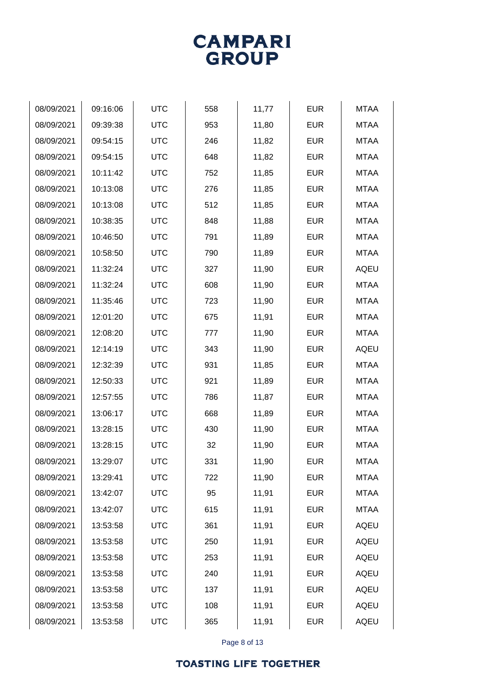# **GROUP**

**CAMPARI** 

| 08/09/2021 | 09:16:06 | <b>UTC</b> | 558 | 11,77 | <b>EUR</b> | <b>MTAA</b> |
|------------|----------|------------|-----|-------|------------|-------------|
| 08/09/2021 | 09:39:38 | <b>UTC</b> | 953 | 11,80 | <b>EUR</b> | <b>MTAA</b> |
| 08/09/2021 | 09:54:15 | <b>UTC</b> | 246 | 11,82 | <b>EUR</b> | <b>MTAA</b> |
| 08/09/2021 | 09:54:15 | <b>UTC</b> | 648 | 11,82 | <b>EUR</b> | <b>MTAA</b> |
| 08/09/2021 | 10:11:42 | <b>UTC</b> | 752 | 11,85 | <b>EUR</b> | <b>MTAA</b> |
| 08/09/2021 | 10:13:08 | <b>UTC</b> | 276 | 11,85 | <b>EUR</b> | <b>MTAA</b> |
| 08/09/2021 | 10:13:08 | <b>UTC</b> | 512 | 11,85 | <b>EUR</b> | <b>MTAA</b> |
| 08/09/2021 | 10:38:35 | <b>UTC</b> | 848 | 11,88 | <b>EUR</b> | <b>MTAA</b> |
| 08/09/2021 | 10:46:50 | <b>UTC</b> | 791 | 11,89 | <b>EUR</b> | <b>MTAA</b> |
| 08/09/2021 | 10:58:50 | <b>UTC</b> | 790 | 11,89 | <b>EUR</b> | <b>MTAA</b> |
| 08/09/2021 | 11:32:24 | <b>UTC</b> | 327 | 11,90 | <b>EUR</b> | <b>AQEU</b> |
| 08/09/2021 | 11:32:24 | <b>UTC</b> | 608 | 11,90 | <b>EUR</b> | <b>MTAA</b> |
| 08/09/2021 | 11:35:46 | <b>UTC</b> | 723 | 11,90 | <b>EUR</b> | <b>MTAA</b> |
| 08/09/2021 | 12:01:20 | <b>UTC</b> | 675 | 11,91 | <b>EUR</b> | <b>MTAA</b> |
| 08/09/2021 | 12:08:20 | <b>UTC</b> | 777 | 11,90 | <b>EUR</b> | <b>MTAA</b> |
| 08/09/2021 | 12:14:19 | <b>UTC</b> | 343 | 11,90 | <b>EUR</b> | <b>AQEU</b> |
| 08/09/2021 | 12:32:39 | <b>UTC</b> | 931 | 11,85 | <b>EUR</b> | <b>MTAA</b> |
| 08/09/2021 | 12:50:33 | <b>UTC</b> | 921 | 11,89 | <b>EUR</b> | <b>MTAA</b> |
| 08/09/2021 | 12:57:55 | <b>UTC</b> | 786 | 11,87 | <b>EUR</b> | <b>MTAA</b> |
| 08/09/2021 | 13:06:17 | <b>UTC</b> | 668 | 11,89 | <b>EUR</b> | <b>MTAA</b> |
| 08/09/2021 | 13:28:15 | <b>UTC</b> | 430 | 11,90 | <b>EUR</b> | <b>MTAA</b> |
| 08/09/2021 | 13:28:15 | <b>UTC</b> | 32  | 11,90 | <b>EUR</b> | <b>MTAA</b> |
| 08/09/2021 | 13:29:07 | <b>UTC</b> | 331 | 11,90 | <b>EUR</b> | <b>MTAA</b> |
| 08/09/2021 | 13:29:41 | <b>UTC</b> | 722 | 11,90 | <b>EUR</b> | <b>MTAA</b> |
| 08/09/2021 | 13:42:07 | <b>UTC</b> | 95  | 11,91 | <b>EUR</b> | <b>MTAA</b> |
| 08/09/2021 | 13:42:07 | <b>UTC</b> | 615 | 11,91 | <b>EUR</b> | <b>MTAA</b> |
| 08/09/2021 | 13:53:58 | <b>UTC</b> | 361 | 11,91 | <b>EUR</b> | <b>AQEU</b> |
| 08/09/2021 | 13:53:58 | <b>UTC</b> | 250 | 11,91 | <b>EUR</b> | <b>AQEU</b> |
| 08/09/2021 | 13:53:58 | <b>UTC</b> | 253 | 11,91 | <b>EUR</b> | AQEU        |
| 08/09/2021 | 13:53:58 | <b>UTC</b> | 240 | 11,91 | <b>EUR</b> | <b>AQEU</b> |
| 08/09/2021 | 13:53:58 | <b>UTC</b> | 137 | 11,91 | <b>EUR</b> | <b>AQEU</b> |
| 08/09/2021 | 13:53:58 | <b>UTC</b> | 108 | 11,91 | <b>EUR</b> | <b>AQEU</b> |
| 08/09/2021 | 13:53:58 | <b>UTC</b> | 365 | 11,91 | <b>EUR</b> | AQEU        |
|            |          |            |     |       |            |             |

Page 8 of 13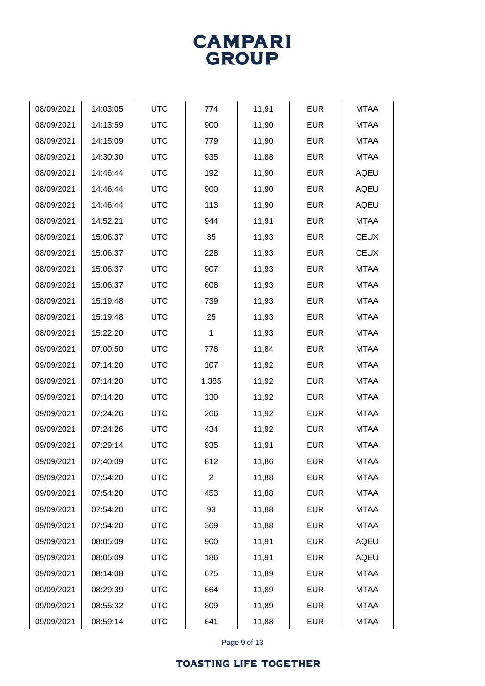Page 9 of 13

| 08/09/2021 | 14:03:05 | <b>UTC</b> | 774            | 11,91 | <b>EUR</b> | <b>MTAA</b> |
|------------|----------|------------|----------------|-------|------------|-------------|
| 08/09/2021 | 14:13:59 | <b>UTC</b> | 900            | 11,90 | <b>EUR</b> | <b>MTAA</b> |
| 08/09/2021 | 14:15:09 | <b>UTC</b> | 779            | 11,90 | <b>EUR</b> | <b>MTAA</b> |
| 08/09/2021 | 14:30:30 | <b>UTC</b> | 935            | 11,88 | <b>EUR</b> | <b>MTAA</b> |
| 08/09/2021 | 14:46:44 | <b>UTC</b> | 192            | 11,90 | <b>EUR</b> | <b>AQEU</b> |
| 08/09/2021 | 14:46:44 | <b>UTC</b> | 900            | 11,90 | <b>EUR</b> | <b>AQEU</b> |
| 08/09/2021 | 14:46:44 | <b>UTC</b> | 113            | 11,90 | <b>EUR</b> | <b>AQEU</b> |
| 08/09/2021 | 14:52:21 | <b>UTC</b> | 944            | 11,91 | <b>EUR</b> | <b>MTAA</b> |
| 08/09/2021 | 15:06:37 | <b>UTC</b> | 35             | 11,93 | <b>EUR</b> | <b>CEUX</b> |
| 08/09/2021 | 15:06:37 | <b>UTC</b> | 228            | 11,93 | <b>EUR</b> | <b>CEUX</b> |
| 08/09/2021 | 15:06:37 | <b>UTC</b> | 907            | 11,93 | <b>EUR</b> | <b>MTAA</b> |
| 08/09/2021 | 15:06:37 | <b>UTC</b> | 608            | 11,93 | <b>EUR</b> | <b>MTAA</b> |
| 08/09/2021 | 15:19:48 | <b>UTC</b> | 739            | 11,93 | <b>EUR</b> | <b>MTAA</b> |
| 08/09/2021 | 15:19:48 | <b>UTC</b> | 25             | 11,93 | <b>EUR</b> | <b>MTAA</b> |
| 08/09/2021 | 15:22:20 | <b>UTC</b> | 1              | 11,93 | <b>EUR</b> | <b>MTAA</b> |
| 09/09/2021 | 07:00:50 | <b>UTC</b> | 778            | 11,84 | <b>EUR</b> | <b>MTAA</b> |
| 09/09/2021 | 07:14:20 | <b>UTC</b> | 107            | 11,92 | <b>EUR</b> | <b>MTAA</b> |
| 09/09/2021 | 07:14:20 | <b>UTC</b> | 1.385          | 11,92 | <b>EUR</b> | <b>MTAA</b> |
| 09/09/2021 | 07:14:20 | <b>UTC</b> | 130            | 11,92 | <b>EUR</b> | <b>MTAA</b> |
| 09/09/2021 | 07:24:26 | <b>UTC</b> | 266            | 11,92 | <b>EUR</b> | <b>MTAA</b> |
| 09/09/2021 | 07:24:26 | <b>UTC</b> | 434            | 11,92 | <b>EUR</b> | <b>MTAA</b> |
| 09/09/2021 | 07:29:14 | <b>UTC</b> | 935            | 11,91 | <b>EUR</b> | <b>MTAA</b> |
| 09/09/2021 | 07:40:09 | <b>UTC</b> | 812            | 11,86 | <b>EUR</b> | <b>MTAA</b> |
| 09/09/2021 | 07:54:20 | <b>UTC</b> | $\overline{2}$ | 11,88 | <b>EUR</b> | <b>MTAA</b> |
| 09/09/2021 | 07:54:20 | <b>UTC</b> | 453            | 11,88 | <b>EUR</b> | <b>MTAA</b> |
| 09/09/2021 | 07:54:20 | <b>UTC</b> | 93             | 11,88 | <b>EUR</b> | <b>MTAA</b> |
| 09/09/2021 | 07:54:20 | <b>UTC</b> | 369            | 11,88 | <b>EUR</b> | <b>MTAA</b> |
| 09/09/2021 | 08:05:09 | <b>UTC</b> | 900            | 11,91 | <b>EUR</b> | <b>AQEU</b> |
| 09/09/2021 | 08:05:09 | <b>UTC</b> | 186            | 11,91 | <b>EUR</b> | AQEU        |
| 09/09/2021 | 08:14:08 | <b>UTC</b> | 675            | 11,89 | <b>EUR</b> | <b>MTAA</b> |
| 09/09/2021 | 08:29:39 | <b>UTC</b> | 664            | 11,89 | <b>EUR</b> | <b>MTAA</b> |
| 09/09/2021 | 08:55:32 | <b>UTC</b> | 809            | 11,89 | <b>EUR</b> | <b>MTAA</b> |
| 09/09/2021 | 08:59:14 | <b>UTC</b> | 641            | 11,88 | <b>EUR</b> | <b>MTAA</b> |
|            |          |            |                |       |            |             |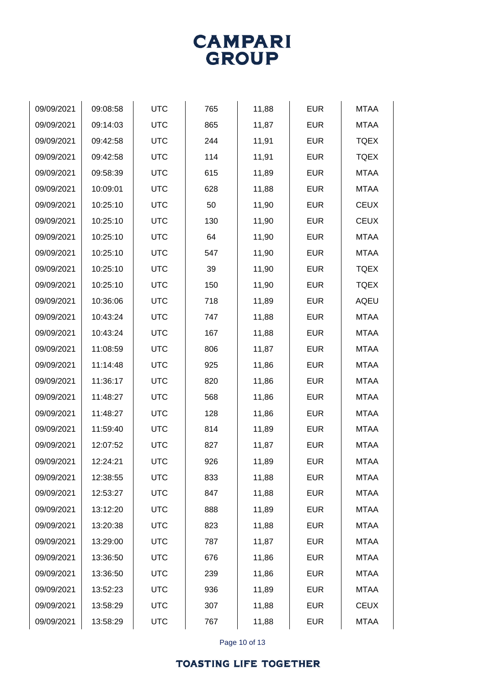

| 09/09/2021 | 09:08:58 | <b>UTC</b> | 765 | 11,88 | <b>EUR</b> | <b>MTAA</b> |
|------------|----------|------------|-----|-------|------------|-------------|
| 09/09/2021 | 09:14:03 | <b>UTC</b> | 865 | 11,87 | <b>EUR</b> | <b>MTAA</b> |
| 09/09/2021 | 09:42:58 | <b>UTC</b> | 244 | 11,91 | <b>EUR</b> | <b>TQEX</b> |
| 09/09/2021 | 09:42:58 | <b>UTC</b> | 114 | 11,91 | <b>EUR</b> | <b>TQEX</b> |
| 09/09/2021 | 09:58:39 | <b>UTC</b> | 615 | 11,89 | <b>EUR</b> | <b>MTAA</b> |
| 09/09/2021 | 10:09:01 | <b>UTC</b> | 628 | 11,88 | <b>EUR</b> | <b>MTAA</b> |
| 09/09/2021 | 10:25:10 | <b>UTC</b> | 50  | 11,90 | <b>EUR</b> | <b>CEUX</b> |
| 09/09/2021 | 10:25:10 | <b>UTC</b> | 130 | 11,90 | <b>EUR</b> | <b>CEUX</b> |
| 09/09/2021 | 10:25:10 | <b>UTC</b> | 64  | 11,90 | <b>EUR</b> | <b>MTAA</b> |
| 09/09/2021 | 10:25:10 | <b>UTC</b> | 547 | 11,90 | <b>EUR</b> | <b>MTAA</b> |
| 09/09/2021 | 10:25:10 | <b>UTC</b> | 39  | 11,90 | <b>EUR</b> | <b>TQEX</b> |
| 09/09/2021 | 10:25:10 | <b>UTC</b> | 150 | 11,90 | <b>EUR</b> | <b>TQEX</b> |
| 09/09/2021 | 10:36:06 | <b>UTC</b> | 718 | 11,89 | <b>EUR</b> | <b>AQEU</b> |
| 09/09/2021 | 10:43:24 | <b>UTC</b> | 747 | 11,88 | <b>EUR</b> | <b>MTAA</b> |
| 09/09/2021 | 10:43:24 | <b>UTC</b> | 167 | 11,88 | <b>EUR</b> | <b>MTAA</b> |
| 09/09/2021 | 11:08:59 | <b>UTC</b> | 806 | 11,87 | <b>EUR</b> | <b>MTAA</b> |
| 09/09/2021 | 11:14:48 | <b>UTC</b> | 925 | 11,86 | <b>EUR</b> | <b>MTAA</b> |
| 09/09/2021 | 11:36:17 | <b>UTC</b> | 820 | 11,86 | <b>EUR</b> | <b>MTAA</b> |
| 09/09/2021 | 11:48:27 | <b>UTC</b> | 568 | 11,86 | <b>EUR</b> | <b>MTAA</b> |
| 09/09/2021 | 11:48:27 | <b>UTC</b> | 128 | 11,86 | <b>EUR</b> | <b>MTAA</b> |
| 09/09/2021 | 11:59:40 | <b>UTC</b> | 814 | 11,89 | <b>EUR</b> | <b>MTAA</b> |
| 09/09/2021 | 12:07:52 | <b>UTC</b> | 827 | 11,87 | <b>EUR</b> | <b>MTAA</b> |
| 09/09/2021 | 12:24:21 | <b>UTC</b> | 926 | 11,89 | <b>EUR</b> | <b>MTAA</b> |
| 09/09/2021 | 12:38:55 | <b>UTC</b> | 833 | 11,88 | <b>EUR</b> | <b>MTAA</b> |
| 09/09/2021 | 12:53:27 | <b>UTC</b> | 847 | 11,88 | <b>EUR</b> | <b>MTAA</b> |
| 09/09/2021 | 13:12:20 | <b>UTC</b> | 888 | 11,89 | <b>EUR</b> | <b>MTAA</b> |
| 09/09/2021 | 13:20:38 | <b>UTC</b> | 823 | 11,88 | <b>EUR</b> | <b>MTAA</b> |
| 09/09/2021 | 13:29:00 | <b>UTC</b> | 787 | 11,87 | <b>EUR</b> | <b>MTAA</b> |
| 09/09/2021 | 13:36:50 | <b>UTC</b> | 676 | 11,86 | <b>EUR</b> | <b>MTAA</b> |
| 09/09/2021 | 13:36:50 | <b>UTC</b> | 239 | 11,86 | <b>EUR</b> | <b>MTAA</b> |
| 09/09/2021 | 13:52:23 | <b>UTC</b> | 936 | 11,89 | <b>EUR</b> | <b>MTAA</b> |
| 09/09/2021 | 13:58:29 | <b>UTC</b> | 307 | 11,88 | <b>EUR</b> | <b>CEUX</b> |
| 09/09/2021 | 13:58:29 | <b>UTC</b> | 767 | 11,88 | <b>EUR</b> | <b>MTAA</b> |
|            |          |            |     |       |            |             |

Page 10 of 13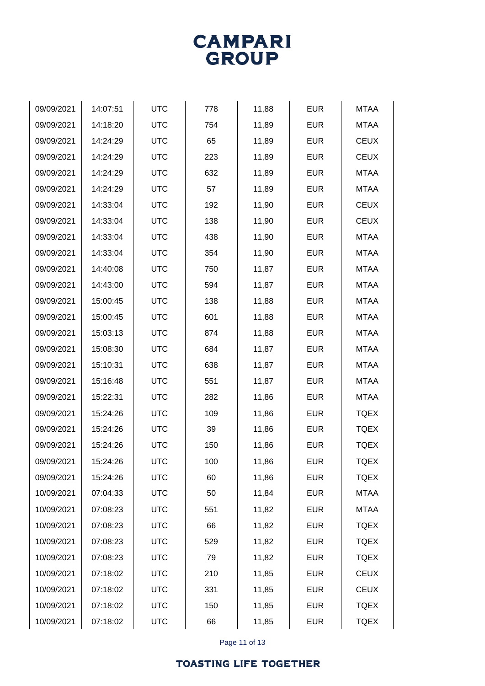

| 09/09/2021 | 14:07:51 | <b>UTC</b> | 778 | 11,88 | <b>EUR</b> | <b>MTAA</b> |
|------------|----------|------------|-----|-------|------------|-------------|
| 09/09/2021 | 14:18:20 | <b>UTC</b> | 754 | 11,89 | <b>EUR</b> | <b>MTAA</b> |
| 09/09/2021 | 14:24:29 | <b>UTC</b> | 65  | 11,89 | <b>EUR</b> | <b>CEUX</b> |
| 09/09/2021 | 14:24:29 | <b>UTC</b> | 223 | 11,89 | <b>EUR</b> | <b>CEUX</b> |
| 09/09/2021 | 14:24:29 | <b>UTC</b> | 632 | 11,89 | <b>EUR</b> | <b>MTAA</b> |
| 09/09/2021 | 14:24:29 | <b>UTC</b> | 57  | 11,89 | <b>EUR</b> | <b>MTAA</b> |
| 09/09/2021 | 14:33:04 | <b>UTC</b> | 192 | 11,90 | <b>EUR</b> | <b>CEUX</b> |
| 09/09/2021 | 14:33:04 | <b>UTC</b> | 138 | 11,90 | <b>EUR</b> | <b>CEUX</b> |
| 09/09/2021 | 14:33:04 | <b>UTC</b> | 438 | 11,90 | <b>EUR</b> | <b>MTAA</b> |
| 09/09/2021 | 14:33:04 | <b>UTC</b> | 354 | 11,90 | <b>EUR</b> | <b>MTAA</b> |
| 09/09/2021 | 14:40:08 | <b>UTC</b> | 750 | 11,87 | <b>EUR</b> | <b>MTAA</b> |
| 09/09/2021 | 14:43:00 | <b>UTC</b> | 594 | 11,87 | <b>EUR</b> | <b>MTAA</b> |
| 09/09/2021 | 15:00:45 | <b>UTC</b> | 138 | 11,88 | <b>EUR</b> | <b>MTAA</b> |
| 09/09/2021 | 15:00:45 | <b>UTC</b> | 601 | 11,88 | <b>EUR</b> | <b>MTAA</b> |
| 09/09/2021 | 15:03:13 | <b>UTC</b> | 874 | 11,88 | <b>EUR</b> | <b>MTAA</b> |
| 09/09/2021 | 15:08:30 | <b>UTC</b> | 684 | 11,87 | <b>EUR</b> | <b>MTAA</b> |
| 09/09/2021 | 15:10:31 | <b>UTC</b> | 638 | 11,87 | <b>EUR</b> | <b>MTAA</b> |
| 09/09/2021 | 15:16:48 | <b>UTC</b> | 551 | 11,87 | <b>EUR</b> | <b>MTAA</b> |
| 09/09/2021 | 15:22:31 | <b>UTC</b> | 282 | 11,86 | <b>EUR</b> | <b>MTAA</b> |
| 09/09/2021 | 15:24:26 | <b>UTC</b> | 109 | 11,86 | <b>EUR</b> | <b>TQEX</b> |
| 09/09/2021 | 15:24:26 | <b>UTC</b> | 39  | 11,86 | <b>EUR</b> | <b>TQEX</b> |
| 09/09/2021 | 15:24:26 | <b>UTC</b> | 150 | 11,86 | <b>EUR</b> | <b>TQEX</b> |
| 09/09/2021 | 15:24:26 | <b>UTC</b> | 100 | 11,86 | <b>EUR</b> | <b>TQEX</b> |
| 09/09/2021 | 15:24:26 | <b>UTC</b> | 60  | 11,86 | <b>EUR</b> | <b>TQEX</b> |
| 10/09/2021 | 07:04:33 | <b>UTC</b> | 50  | 11,84 | <b>EUR</b> | MTAA        |
| 10/09/2021 | 07:08:23 | <b>UTC</b> | 551 | 11,82 | <b>EUR</b> | <b>MTAA</b> |
| 10/09/2021 | 07:08:23 | <b>UTC</b> | 66  | 11,82 | <b>EUR</b> | <b>TQEX</b> |
| 10/09/2021 | 07:08:23 | <b>UTC</b> | 529 | 11,82 | <b>EUR</b> | <b>TQEX</b> |
| 10/09/2021 | 07:08:23 | <b>UTC</b> | 79  | 11,82 | <b>EUR</b> | <b>TQEX</b> |
| 10/09/2021 | 07:18:02 | <b>UTC</b> | 210 | 11,85 | <b>EUR</b> | <b>CEUX</b> |
| 10/09/2021 | 07:18:02 | <b>UTC</b> | 331 | 11,85 | <b>EUR</b> | <b>CEUX</b> |
| 10/09/2021 | 07:18:02 | <b>UTC</b> | 150 | 11,85 | <b>EUR</b> | <b>TQEX</b> |
| 10/09/2021 | 07:18:02 | <b>UTC</b> | 66  | 11,85 | <b>EUR</b> | <b>TQEX</b> |

Page 11 of 13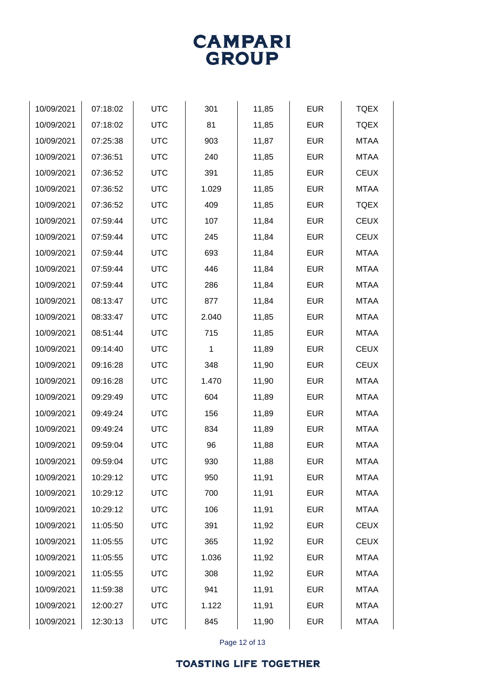

| 10/09/2021 | 07:18:02 | <b>UTC</b> | 301   | 11,85 | <b>EUR</b> | <b>TQEX</b> |
|------------|----------|------------|-------|-------|------------|-------------|
| 10/09/2021 | 07:18:02 | <b>UTC</b> | 81    | 11,85 | <b>EUR</b> | <b>TQEX</b> |
| 10/09/2021 | 07:25:38 | <b>UTC</b> | 903   | 11,87 | <b>EUR</b> | <b>MTAA</b> |
| 10/09/2021 | 07:36:51 | <b>UTC</b> | 240   | 11,85 | <b>EUR</b> | <b>MTAA</b> |
| 10/09/2021 | 07:36:52 | <b>UTC</b> | 391   | 11,85 | <b>EUR</b> | <b>CEUX</b> |
| 10/09/2021 | 07:36:52 | <b>UTC</b> | 1.029 | 11,85 | <b>EUR</b> | <b>MTAA</b> |
| 10/09/2021 | 07:36:52 | <b>UTC</b> | 409   | 11,85 | <b>EUR</b> | <b>TQEX</b> |
| 10/09/2021 | 07:59:44 | <b>UTC</b> | 107   | 11,84 | <b>EUR</b> | <b>CEUX</b> |
| 10/09/2021 | 07:59:44 | <b>UTC</b> | 245   | 11,84 | <b>EUR</b> | <b>CEUX</b> |
| 10/09/2021 | 07:59:44 | <b>UTC</b> | 693   | 11,84 | <b>EUR</b> | <b>MTAA</b> |
| 10/09/2021 | 07:59:44 | <b>UTC</b> | 446   | 11,84 | <b>EUR</b> | <b>MTAA</b> |
| 10/09/2021 | 07:59:44 | <b>UTC</b> | 286   | 11,84 | <b>EUR</b> | <b>MTAA</b> |
| 10/09/2021 | 08:13:47 | <b>UTC</b> | 877   | 11,84 | <b>EUR</b> | <b>MTAA</b> |
| 10/09/2021 | 08:33:47 | <b>UTC</b> | 2.040 | 11,85 | <b>EUR</b> | <b>MTAA</b> |
| 10/09/2021 | 08:51:44 | <b>UTC</b> | 715   | 11,85 | <b>EUR</b> | <b>MTAA</b> |
| 10/09/2021 | 09:14:40 | <b>UTC</b> | 1     | 11,89 | <b>EUR</b> | <b>CEUX</b> |
| 10/09/2021 | 09:16:28 | <b>UTC</b> | 348   | 11,90 | <b>EUR</b> | <b>CEUX</b> |
| 10/09/2021 | 09:16:28 | <b>UTC</b> | 1.470 | 11,90 | <b>EUR</b> | <b>MTAA</b> |
| 10/09/2021 | 09:29:49 | <b>UTC</b> | 604   | 11,89 | <b>EUR</b> | <b>MTAA</b> |
| 10/09/2021 | 09:49:24 | <b>UTC</b> | 156   | 11,89 | <b>EUR</b> | <b>MTAA</b> |
| 10/09/2021 | 09:49:24 | <b>UTC</b> | 834   | 11,89 | <b>EUR</b> | <b>MTAA</b> |
| 10/09/2021 | 09:59:04 | <b>UTC</b> | 96    | 11,88 | <b>EUR</b> | <b>MTAA</b> |
| 10/09/2021 | 09:59:04 | <b>UTC</b> | 930   | 11,88 | <b>EUR</b> | <b>MTAA</b> |
| 10/09/2021 | 10:29:12 | <b>UTC</b> | 950   | 11,91 | <b>EUR</b> | <b>MTAA</b> |
| 10/09/2021 | 10:29:12 | <b>UTC</b> | 700   | 11,91 | <b>EUR</b> | <b>MTAA</b> |
| 10/09/2021 | 10:29:12 | <b>UTC</b> | 106   | 11,91 | <b>EUR</b> | <b>MTAA</b> |
| 10/09/2021 | 11:05:50 | <b>UTC</b> | 391   | 11,92 | <b>EUR</b> | <b>CEUX</b> |
| 10/09/2021 | 11:05:55 | <b>UTC</b> | 365   | 11,92 | <b>EUR</b> | <b>CEUX</b> |
| 10/09/2021 | 11:05:55 | <b>UTC</b> | 1.036 | 11,92 | <b>EUR</b> | <b>MTAA</b> |
| 10/09/2021 | 11:05:55 | <b>UTC</b> | 308   | 11,92 | <b>EUR</b> | <b>MTAA</b> |
| 10/09/2021 | 11:59:38 | <b>UTC</b> | 941   | 11,91 | <b>EUR</b> | <b>MTAA</b> |
| 10/09/2021 | 12:00:27 | <b>UTC</b> | 1.122 | 11,91 | <b>EUR</b> | <b>MTAA</b> |
| 10/09/2021 | 12:30:13 | <b>UTC</b> | 845   | 11,90 | <b>EUR</b> | <b>MTAA</b> |
|            |          |            |       |       |            |             |

Page 12 of 13